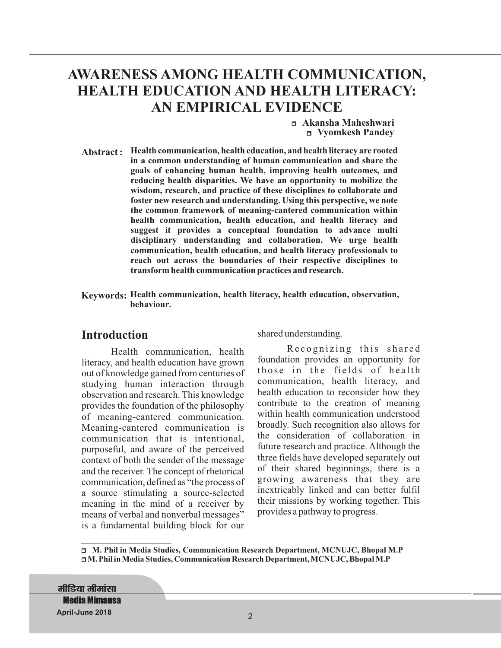# **AWARENESS AMONG HEALTH COMMUNICATION, HEALTH EDUCATION AND HEALTH LITERACY: AN EMPIRICAL EVIDENCE**

<sup>r</sup>**Akansha Maheshwari** <sup>r</sup>**Vyomkesh Pandey**

**Abstract : Health communication, health education, and health literacy are rooted in a common understanding of human communication and share the goals of enhancing human health, improving health outcomes, and reducing health disparities. We have an opportunity to mobilize the wisdom, research, and practice of these disciplines to collaborate and foster new research and understanding. Using this perspective, we note the common framework of meaning-cantered communication within health communication, health education, and health literacy and suggest it provides a conceptual foundation to advance multi disciplinary understanding and collaboration. We urge health communication, health education, and health literacy professionals to reach out across the boundaries of their respective disciplines to transform health communication practices and research.**

**Keywords: Health communication, health literacy, health education, observation, behaviour.**

## **Introduction**

Health communication, health literacy, and health education have grown out of knowledge gained from centuries of studying human interaction through observation and research. This knowledge provides the foundation of the philosophy of meaning-cantered communication. Meaning-cantered communication is communication that is intentional, purposeful, and aware of the perceived context of both the sender of the message and the receiver. The concept of rhetorical communication, defined as "the process of a source stimulating a source-selected meaning in the mind of a receiver by means of verbal and nonverbal messages" is a fundamental building block for our shared understanding.

Recognizing this shared foundation provides an opportunity for those in the fields of health communication, health literacy, and health education to reconsider how they contribute to the creation of meaning within health communication understood broadly. Such recognition also allows for the consideration of collaboration in future research and practice. Although the three fields have developed separately out of their shared beginnings, there is a growing awareness that they are inextricably linked and can better fulfil their missions by working together. This provides a pathway to progress.

<sup>r</sup>**M. Phil in Media Studies, Communication Research Department, MCNUJC, Bhopal M.P** <sup>r</sup>**M. Phil in Media Studies, Communication Research Department, MCNUJC, Bhopal M.P**

**मीडिया मीमांसा Media Mimansa April-June 2018** 2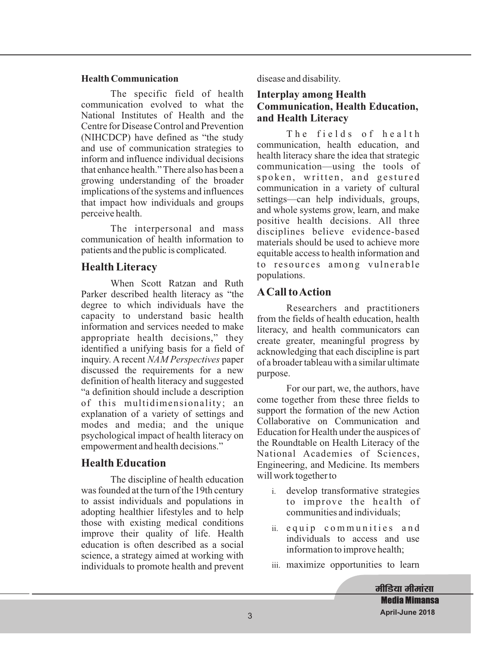#### **Health Communication**

The specific field of health communication evolved to what the National Institutes of Health and the Centre for Disease Control and Prevention (NIHCDCP) have defined as "the study and use of communication strategies to inform and influence individual decisions that enhance health." There also has been a growing understanding of the broader implications of the systems and influences that impact how individuals and groups perceive health.

The interpersonal and mass communication of health information to patients and the public is complicated.

## **Health Literacy**

When Scott Ratzan and Ruth Parker described health literacy as "the degree to which individuals have the capacity to understand basic health information and services needed to make appropriate health decisions," they identified a unifying basis for a field of inquiry. A recent *NAM Perspectives* paper discussed the requirements for a new definition of health literacy and suggested "a definition should include a description of this multidimensionality; an explanation of a variety of settings and modes and media; and the unique psychological impact of health literacy on empowerment and health decisions."

## **Health Education**

The discipline of health education was founded at the turn of the 19th century to assist individuals and populations in adopting healthier lifestyles and to help those with existing medical conditions improve their quality of life. Health education is often described as a social science, a strategy aimed at working with individuals to promote health and prevent disease and disability.

#### **Interplay among Health Communication, Health Education, and Health Literacy**

The fields of health communication, health education, and health literacy share the idea that strategic communication—using the tools of spoken, written, and gestured communication in a variety of cultural settings—can help individuals, groups, and whole systems grow, learn, and make positive health decisions. All three disciplines believe evidence-based materials should be used to achieve more equitable access to health information and to resources among vulnerable populations.

## **ACall toAction**

Researchers and practitioners from the fields of health education, health literacy, and health communicators can create greater, meaningful progress by acknowledging that each discipline is part of a broader tableau with a similar ultimate purpose.

For our part, we, the authors, have come together from these three fields to support the formation of the new Action Collaborative on Communication and Education for Health under the auspices of the Roundtable on Health Literacy of the National Academies of Sciences, Engineering, and Medicine. Its members will work together to

- i. develop transformative strategies to improve the health of communities and individuals;
- ii. e qui p c o m m u n i t i e s a n d individuals to access and use information to improve health;
- iii. maximize opportunities to learn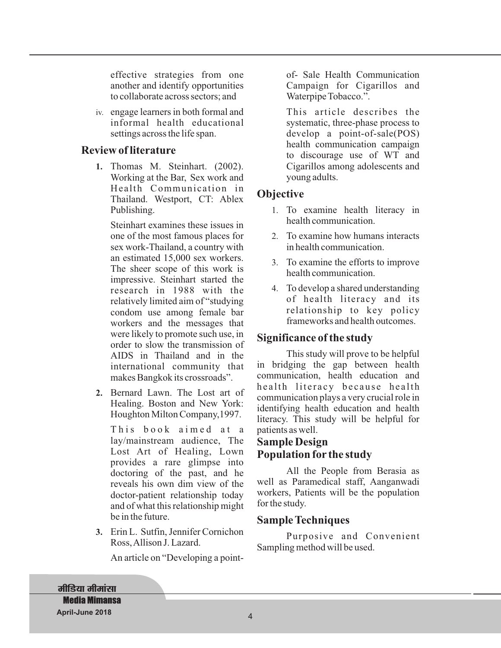effective strategies from one another and identify opportunities to collaborate across sectors; and

iv. engage learners in both formal and informal health educational settings across the life span.

## **Review of literature**

**1.** Thomas M. Steinhart. (2002). Working at the Bar, Sex work and Health Communication in Thailand. Westport, CT: Ablex Publishing.

Steinhart examines these issues in one of the most famous places for sex work-Thailand, a country with an estimated 15,000 sex workers. The sheer scope of this work is impressive. Steinhart started the research in 1988 with the relatively limited aim of "studying condom use among female bar workers and the messages that were likely to promote such use, in order to slow the transmission of AIDS in Thailand and in the international community that makes Bangkok its crossroads".

**2.** Bernard Lawn. The Lost art of Healing. Boston and New York: Houghton Milton Company,1997.

This book aimed at a lay/mainstream audience, The Lost Art of Healing, Lown provides a rare glimpse into doctoring of the past, and he reveals his own dim view of the doctor-patient relationship today and of what this relationship might be in the future.

**3.** Erin L. Sutfin, Jennifer Cornichon Ross,Allison J. Lazard.

An article on "Developing a point-

of- Sale Health Communication Campaign for Cigarillos and Waterpipe Tobacco.".

This article describes the systematic, three-phase process to develop a point-of-sale(POS) health communication campaign to discourage use of WT and Cigarillos among adolescents and young adults.

## **Objective**

- 1. To examine health literacy in health communication.
- 2. To examine how humans interacts in health communication.
- 3. To examine the efforts to improve health communication.
- 4. To develop a shared understanding of health literacy and its relationship to key policy frameworks and health outcomes.

## **Significance of the study**

This study will prove to be helpful in bridging the gap between health communication, health education and health literacy because health communication plays a very crucial role in identifying health education and health literacy. This study will be helpful for patients as well.

## **Sample Design Population for the study**

All the People from Berasia as well as Paramedical staff, Aanganwadi workers, Patients will be the population for the study.

## **Sample Techniques**

Purposive and Convenient Sampling method will be used.

**मीडिया मीमांसा Media Mimansa April-June 2018** 4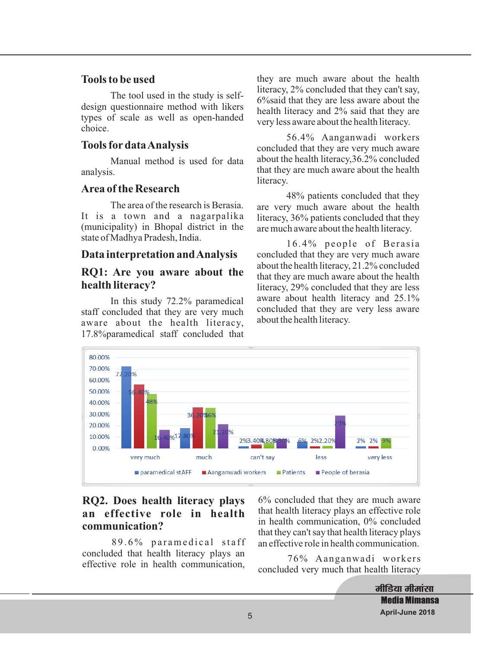### **Tools to be used**

The tool used in the study is selfdesign questionnaire method with likers types of scale as well as open-handed choice.

## **Tools for dataAnalysis**

Manual method is used for data analysis.

## **Area of the Research**

The area of the research is Berasia. It is a town and a nagarpalika (municipality) in Bhopal district in the state of Madhya Pradesh, India.

## **Data interpretation andAnalysis**

## **RQ1: Are you aware about the health literacy?**

In this study 72.2% paramedical staff concluded that they are very much aware about the health literacy, 17.8%paramedical staff concluded that they are much aware about the health literacy, 2% concluded that they can't say, 6%said that they are less aware about the health literacy and 2% said that they are very less aware about the health literacy.

56.4% Aanganwadi workers concluded that they are very much aware about the health literacy,36.2% concluded that they are much aware about the health literacy.

48% patients concluded that they are very much aware about the health literacy, 36% patients concluded that they are much aware about the health literacy.

 $16.4\%$  people of Berasia concluded that they are very much aware about the health literacy, 21.2% concluded that they are much aware about the health literacy, 29% concluded that they are less aware about health literacy and 25.1% concluded that they are very less aware about the health literacy.



## **RQ2. Does health literacy plays an effective role in health communication?**

89.6% paramedical staff concluded that health literacy plays an effective role in health communication,

6% concluded that they are much aware that health literacy plays an effective role in health communication, 0% concluded that they can't say that health literacy plays an effective role in health communication.

76% Aanganwadi workers concluded very much that health literacy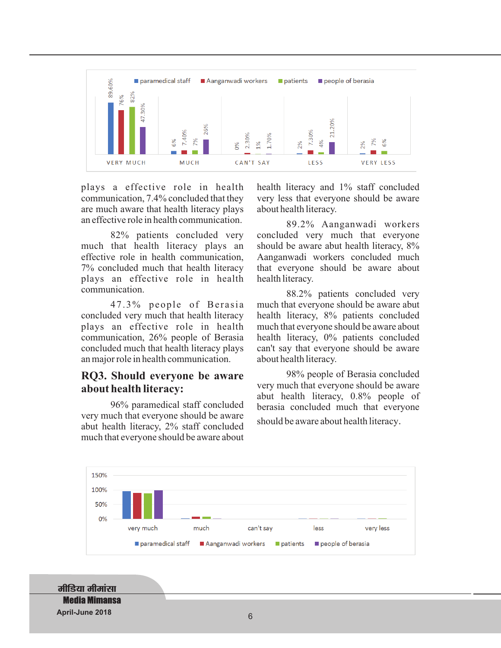

plays a effective role in health communication, 7.4% concluded that they are much aware that health literacy plays an effective role in health communication.

82% patients concluded very much that health literacy plays an effective role in health communication, 7% concluded much that health literacy plays an effective role in health communication.

47.3% people of Berasia concluded very much that health literacy plays an effective role in health communication, 26% people of Berasia concluded much that health literacy plays an major role in health communication.

#### **RQ3. Should everyone be aware about health literacy:**

96% paramedical staff concluded very much that everyone should be aware abut health literacy, 2% staff concluded much that everyone should be aware about

health literacy and 1% staff concluded very less that everyone should be aware about health literacy.

89.2% Aanganwadi workers concluded very much that everyone should be aware abut health literacy, 8% Aanganwadi workers concluded much that everyone should be aware about health literacy.

88.2% patients concluded very much that everyone should be aware abut health literacy, 8% patients concluded much that everyone should be aware about health literacy, 0% patients concluded can't say that everyone should be aware about health literacy.

98% people of Berasia concluded very much that everyone should be aware abut health literacy, 0.8% people of berasia concluded much that everyone

should be aware about health literacy.



**मीडिया मीमांसा Media Mimansa April-June 2018** 6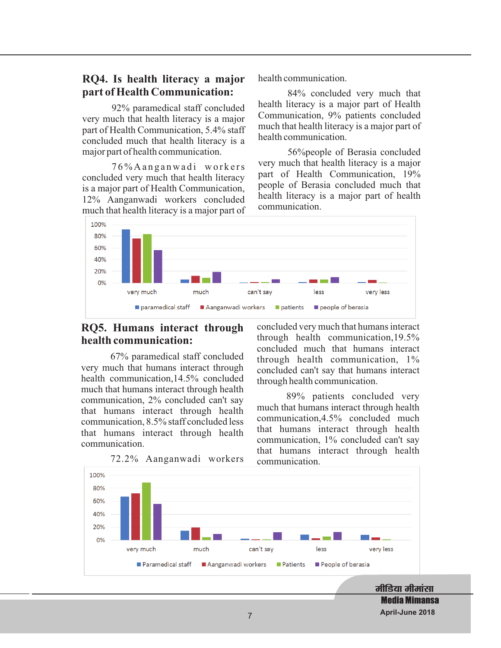### **RQ4. Is health literacy a major part of Health Communication:**

92% paramedical staff concluded very much that health literacy is a major part of Health Communication, 5.4% staff concluded much that health literacy is a major part of health communication.

76% A ang anwadi workers concluded very much that health literacy is a major part of Health Communication, 12% Aanganwadi workers concluded much that health literacy is a major part of health communication.

84% concluded very much that health literacy is a major part of Health Communication, 9% patients concluded much that health literacy is a major part of health communication.

56% people of Berasia concluded very much that health literacy is a major part of Health Communication, 19% people of Berasia concluded much that health literacy is a major part of health communication.



## **RQ5. Humans interact through health communication:**

67% paramedical staff concluded very much that humans interact through health communication,14.5% concluded much that humans interact through health communication, 2% concluded can't say that humans interact through health communication, 8.5% staff concluded less that humans interact through health communication.

concluded very much that humans interact through health communication,19.5% concluded much that humans interact through health communication, 1% concluded can't say that humans interact through health communication.

89% patients concluded very much that humans interact through health communication,4.5% concluded much that humans interact through health communication, 1% concluded can't say that humans interact through health communication.



72.2% Aanganwadi workers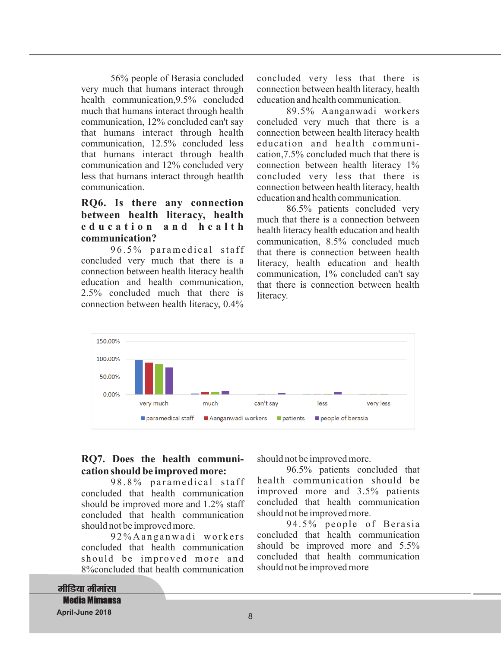56% people of Berasia concluded very much that humans interact through health communication,9.5% concluded much that humans interact through health communication, 12% concluded can't say that humans interact through health communication, 12.5% concluded less that humans interact through health communication and 12% concluded very less that humans interact through heatlth communication.

### **RQ6. Is there any connection between health literacy, health e d u c a t i o n a n d h e a l t h communication?**

96.5% paramedical staff concluded very much that there is a connection between health literacy health education and health communication, 2.5% concluded much that there is connection between health literacy, 0.4%

concluded very less that there is connection between health literacy, health education and health communication.

89.5% Aanganwadi workers concluded very much that there is a connection between health literacy health education and health communication,7.5% concluded much that there is connection between health literacy 1% concluded very less that there is connection between health literacy, health education and health communication.

86.5% patients concluded very much that there is a connection between health literacy health education and health communication, 8.5% concluded much that there is connection between health literacy, health education and health communication, 1% concluded can't say that there is connection between health literacy.



#### **RQ7. Does the health communication should be improved more:**

98.8% paramedical staff concluded that health communication should be improved more and 1.2% staff concluded that health communication should not be improved more.

92% A ang anwadi workers concluded that health communication should be improved more and 8%concluded that health communication

should not be improved more.

96.5% patients concluded that health communication should be improved more and 3.5% patients concluded that health communication should not be improved more.

94.5% people of Berasia concluded that health communication should be improved more and 5.5% concluded that health communication should not be improved more